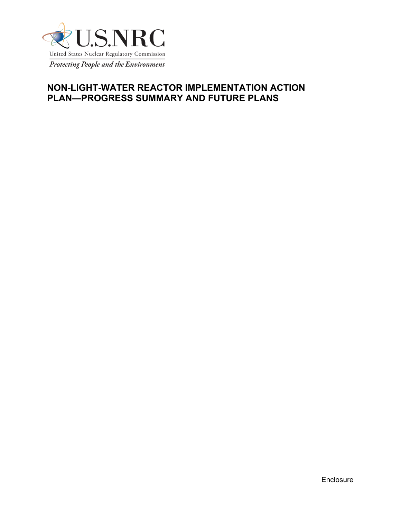

# **NON-LIGHT-WATER REACTOR IMPLEMENTATION ACTION PLAN—PROGRESS SUMMARY AND FUTURE PLANS**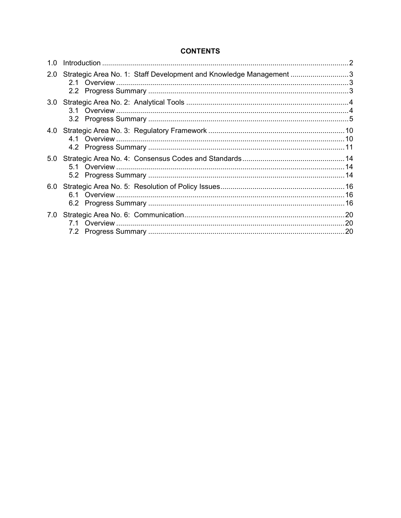# **CONTENTS**

| 1.0 |                                                                    |  |
|-----|--------------------------------------------------------------------|--|
| 2.0 | Strategic Area No. 1: Staff Development and Knowledge Management 3 |  |
| 3.0 |                                                                    |  |
| 4.0 |                                                                    |  |
| 5.0 |                                                                    |  |
| 6.0 |                                                                    |  |
| 7.0 |                                                                    |  |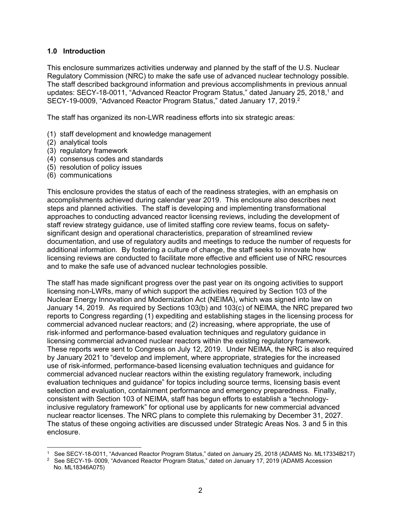### **1.0 Introduction**

This enclosure summarizes activities underway and planned by the staff of the U.S. Nuclear Regulatory Commission (NRC) to make the safe use of advanced nuclear technology possible. The staff described background information and previous accomplishments in previous annual updates: SECY-18-0011, "Advanced Reactor Program Status," dated January 25, 2018,<sup>1</sup> and SECY-19-0009, "Advanced Reactor Program Status," dated January 17, 2019.2

The staff has organized its non-LWR readiness efforts into six strategic areas:

- (1) staff development and knowledge management
- (2) analytical tools
- (3) regulatory framework
- (4) consensus codes and standards
- (5) resolution of policy issues
- (6) communications

-

This enclosure provides the status of each of the readiness strategies, with an emphasis on accomplishments achieved during calendar year 2019. This enclosure also describes next steps and planned activities. The staff is developing and implementing transformational approaches to conducting advanced reactor licensing reviews, including the development of staff review strategy guidance, use of limited staffing core review teams, focus on safetysignificant design and operational characteristics, preparation of streamlined review documentation, and use of regulatory audits and meetings to reduce the number of requests for additional information. By fostering a culture of change, the staff seeks to innovate how licensing reviews are conducted to facilitate more effective and efficient use of NRC resources and to make the safe use of advanced nuclear technologies possible.

The staff has made significant progress over the past year on its ongoing activities to support licensing non-LWRs, many of which support the activities required by Section 103 of the Nuclear Energy Innovation and Modernization Act (NEIMA), which was signed into law on January 14, 2019. As required by Sections 103(b) and 103(c) of NEIMA, the NRC prepared two reports to Congress regarding (1) expediting and establishing stages in the licensing process for commercial advanced nuclear reactors; and (2) increasing, where appropriate, the use of risk‑informed and performance‑based evaluation techniques and regulatory guidance in licensing commercial advanced nuclear reactors within the existing regulatory framework. These reports were sent to Congress on July 12, 2019. Under NEIMA, the NRC is also required by January 2021 to "develop and implement, where appropriate, strategies for the increased use of risk-informed, performance-based licensing evaluation techniques and guidance for commercial advanced nuclear reactors within the existing regulatory framework, including evaluation techniques and guidance" for topics including source terms, licensing basis event selection and evaluation, containment performance and emergency preparedness. Finally, consistent with Section 103 of NEIMA, staff has begun efforts to establish a "technologyinclusive regulatory framework" for optional use by applicants for new commercial advanced nuclear reactor licenses. The NRC plans to complete this rulemaking by December 31, 2027. The status of these ongoing activities are discussed under Strategic Areas Nos. 3 and 5 in this enclosure.

<sup>&</sup>lt;sup>1</sup> See SECY-18-0011, "Advanced Reactor Program Status," dated on January 25, 2018 (ADAMS No. ML17334B217) <sup>2</sup> See SECY-19- 0009, "Advanced Reactor Program Status," dated on January 17, 2019 (ADAMS Accession

No. ML18346A075)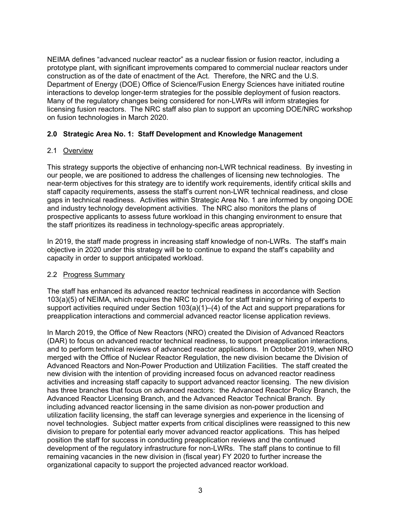NEIMA defines "advanced nuclear reactor" as a nuclear fission or fusion reactor, including a prototype plant, with significant improvements compared to commercial nuclear reactors under construction as of the date of enactment of the Act. Therefore, the NRC and the U.S. Department of Energy (DOE) Office of Science/Fusion Energy Sciences have initiated routine interactions to develop longer-term strategies for the possible deployment of fusion reactors. Many of the regulatory changes being considered for non-LWRs will inform strategies for licensing fusion reactors. The NRC staff also plan to support an upcoming DOE/NRC workshop on fusion technologies in March 2020.

### **2.0 Strategic Area No. 1: Staff Development and Knowledge Management**

### 2.1 Overview

This strategy supports the objective of enhancing non-LWR technical readiness. By investing in our people, we are positioned to address the challenges of licensing new technologies. The near-term objectives for this strategy are to identify work requirements, identify critical skills and staff capacity requirements, assess the staff's current non-LWR technical readiness, and close gaps in technical readiness. Activities within Strategic Area No. 1 are informed by ongoing DOE and industry technology development activities. The NRC also monitors the plans of prospective applicants to assess future workload in this changing environment to ensure that the staff prioritizes its readiness in technology-specific areas appropriately.

In 2019, the staff made progress in increasing staff knowledge of non-LWRs. The staff's main objective in 2020 under this strategy will be to continue to expand the staff's capability and capacity in order to support anticipated workload.

### 2.2 Progress Summary

The staff has enhanced its advanced reactor technical readiness in accordance with Section 103(a)(5) of NEIMA, which requires the NRC to provide for staff training or hiring of experts to support activities required under Section 103(a)(1)–(4) of the Act and support preparations for preapplication interactions and commercial advanced reactor license application reviews.

In March 2019, the Office of New Reactors (NRO) created the Division of Advanced Reactors (DAR) to focus on advanced reactor technical readiness, to support preapplication interactions, and to perform technical reviews of advanced reactor applications. In October 2019, when NRO merged with the Office of Nuclear Reactor Regulation, the new division became the Division of Advanced Reactors and Non-Power Production and Utilization Facilities. The staff created the new division with the intention of providing increased focus on advanced reactor readiness activities and increasing staff capacity to support advanced reactor licensing. The new division has three branches that focus on advanced reactors: the Advanced Reactor Policy Branch, the Advanced Reactor Licensing Branch, and the Advanced Reactor Technical Branch. By including advanced reactor licensing in the same division as non-power production and utilization facility licensing, the staff can leverage synergies and experience in the licensing of novel technologies. Subject matter experts from critical disciplines were reassigned to this new division to prepare for potential early mover advanced reactor applications. This has helped position the staff for success in conducting preapplication reviews and the continued development of the regulatory infrastructure for non-LWRs. The staff plans to continue to fill remaining vacancies in the new division in (fiscal year) FY 2020 to further increase the organizational capacity to support the projected advanced reactor workload.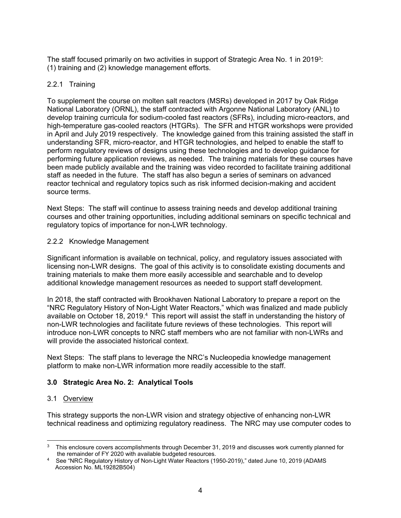The staff focused primarily on two activities in support of Strategic Area No. 1 in 2019<sup>3</sup>: (1) training and (2) knowledge management efforts.

### 2.2.1 Training

To supplement the course on molten salt reactors (MSRs) developed in 2017 by Oak Ridge National Laboratory (ORNL), the staff contracted with Argonne National Laboratory (ANL) to develop training curricula for sodium-cooled fast reactors (SFRs), including micro-reactors, and high-temperature gas-cooled reactors (HTGRs). The SFR and HTGR workshops were provided in April and July 2019 respectively. The knowledge gained from this training assisted the staff in understanding SFR, micro-reactor, and HTGR technologies, and helped to enable the staff to perform regulatory reviews of designs using these technologies and to develop guidance for performing future application reviews, as needed. The training materials for these courses have been made publicly available and the training was video recorded to facilitate training additional staff as needed in the future. The staff has also begun a series of seminars on advanced reactor technical and regulatory topics such as risk informed decision-making and accident source terms.

Next Steps: The staff will continue to assess training needs and develop additional training courses and other training opportunities, including additional seminars on specific technical and regulatory topics of importance for non-LWR technology.

#### 2.2.2 Knowledge Management

Significant information is available on technical, policy, and regulatory issues associated with licensing non-LWR designs. The goal of this activity is to consolidate existing documents and training materials to make them more easily accessible and searchable and to develop additional knowledge management resources as needed to support staff development.

In 2018, the staff contracted with Brookhaven National Laboratory to prepare a report on the "NRC Regulatory History of Non-Light Water Reactors," which was finalized and made publicly available on October 18, 2019.<sup>4</sup> This report will assist the staff in understanding the history of non-LWR technologies and facilitate future reviews of these technologies. This report will introduce non-LWR concepts to NRC staff members who are not familiar with non-LWRs and will provide the associated historical context.

Next Steps: The staff plans to leverage the NRC's Nucleopedia knowledge management platform to make non-LWR information more readily accessible to the staff.

# **3.0 Strategic Area No. 2: Analytical Tools**

### 3.1 Overview

This strategy supports the non-LWR vision and strategy objective of enhancing non-LWR technical readiness and optimizing regulatory readiness. The NRC may use computer codes to

 $3<sup>1</sup>$ 3 This enclosure covers accomplishments through December 31, 2019 and discusses work currently planned for the remainder of FY 2020 with available budgeted resources. 4 See "NRC Regulatory History of Non-Light Water Reactors (1950-2019)," dated June 10, 2019 (ADAMS

Accession No. ML19282B504)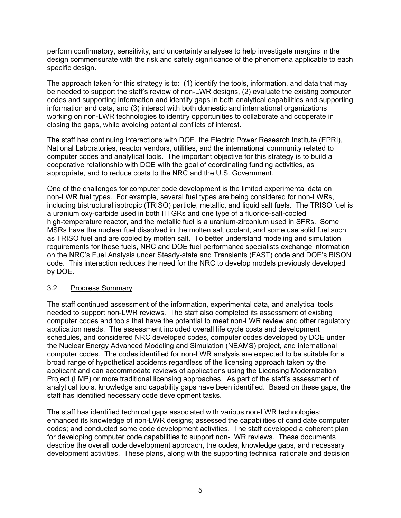perform confirmatory, sensitivity, and uncertainty analyses to help investigate margins in the design commensurate with the risk and safety significance of the phenomena applicable to each specific design.

The approach taken for this strategy is to: (1) identify the tools, information, and data that may be needed to support the staff's review of non-LWR designs, (2) evaluate the existing computer codes and supporting information and identify gaps in both analytical capabilities and supporting information and data, and (3) interact with both domestic and international organizations working on non-LWR technologies to identify opportunities to collaborate and cooperate in closing the gaps, while avoiding potential conflicts of interest.

The staff has continuing interactions with DOE, the Electric Power Research Institute (EPRI), National Laboratories, reactor vendors, utilities, and the international community related to computer codes and analytical tools. The important objective for this strategy is to build a cooperative relationship with DOE with the goal of coordinating funding activities, as appropriate, and to reduce costs to the NRC and the U.S. Government.

One of the challenges for computer code development is the limited experimental data on non-LWR fuel types. For example, several fuel types are being considered for non-LWRs, including tristructural isotropic (TRISO) particle, metallic, and liquid salt fuels. The TRISO fuel is a uranium oxy-carbide used in both HTGRs and one type of a fluoride-salt-cooled high-temperature reactor, and the metallic fuel is a uranium-zirconium used in SFRs. Some MSRs have the nuclear fuel dissolved in the molten salt coolant, and some use solid fuel such as TRISO fuel and are cooled by molten salt. To better understand modeling and simulation requirements for these fuels, NRC and DOE fuel performance specialists exchange information on the NRC's Fuel Analysis under Steady-state and Transients (FAST) code and DOE's BISON code. This interaction reduces the need for the NRC to develop models previously developed by DOE.

### 3.2 Progress Summary

The staff continued assessment of the information, experimental data, and analytical tools needed to support non-LWR reviews. The staff also completed its assessment of existing computer codes and tools that have the potential to meet non-LWR review and other regulatory application needs. The assessment included overall life cycle costs and development schedules, and considered NRC developed codes, computer codes developed by DOE under the Nuclear Energy Advanced Modeling and Simulation (NEAMS) project, and international computer codes. The codes identified for non-LWR analysis are expected to be suitable for a broad range of hypothetical accidents regardless of the licensing approach taken by the applicant and can accommodate reviews of applications using the Licensing Modernization Project (LMP) or more traditional licensing approaches. As part of the staff's assessment of analytical tools, knowledge and capability gaps have been identified. Based on these gaps, the staff has identified necessary code development tasks.

The staff has identified technical gaps associated with various non-LWR technologies; enhanced its knowledge of non-LWR designs; assessed the capabilities of candidate computer codes; and conducted some code development activities. The staff developed a coherent plan for developing computer code capabilities to support non-LWR reviews. These documents describe the overall code development approach, the codes, knowledge gaps, and necessary development activities. These plans, along with the supporting technical rationale and decision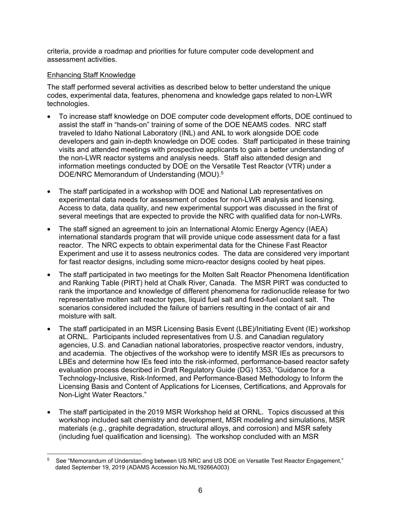criteria, provide a roadmap and priorities for future computer code development and assessment activities.

### Enhancing Staff Knowledge

The staff performed several activities as described below to better understand the unique codes, experimental data, features, phenomena and knowledge gaps related to non-LWR technologies.

- To increase staff knowledge on DOE computer code development efforts, DOE continued to assist the staff in "hands-on" training of some of the DOE NEAMS codes. NRC staff traveled to Idaho National Laboratory (INL) and ANL to work alongside DOE code developers and gain in-depth knowledge on DOE codes. Staff participated in these training visits and attended meetings with prospective applicants to gain a better understanding of the non-LWR reactor systems and analysis needs. Staff also attended design and information meetings conducted by DOE on the Versatile Test Reactor (VTR) under a DOE/NRC Memorandum of Understanding (MOU).<sup>5</sup>
- The staff participated in a workshop with DOE and National Lab representatives on experimental data needs for assessment of codes for non-LWR analysis and licensing. Access to data, data quality, and new experimental support was discussed in the first of several meetings that are expected to provide the NRC with qualified data for non-LWRs.
- The staff signed an agreement to join an International Atomic Energy Agency (IAEA) international standards program that will provide unique code assessment data for a fast reactor. The NRC expects to obtain experimental data for the Chinese Fast Reactor Experiment and use it to assess neutronics codes. The data are considered very important for fast reactor designs, including some micro-reactor designs cooled by heat pipes.
- The staff participated in two meetings for the Molten Salt Reactor Phenomena Identification and Ranking Table (PIRT) held at Chalk River, Canada. The MSR PIRT was conducted to rank the importance and knowledge of different phenomena for radionuclide release for two representative molten salt reactor types, liquid fuel salt and fixed-fuel coolant salt. The scenarios considered included the failure of barriers resulting in the contact of air and moisture with salt.
- The staff participated in an MSR Licensing Basis Event (LBE)/Initiating Event (IE) workshop at ORNL. Participants included representatives from U.S. and Canadian regulatory agencies, U.S. and Canadian national laboratories, prospective reactor vendors, industry, and academia. The objectives of the workshop were to identify MSR IEs as precursors to LBEs and determine how IEs feed into the risk-informed, performance-based reactor safety evaluation process described in Draft Regulatory Guide (DG) 1353, "Guidance for a Technology-Inclusive, Risk-Informed, and Performance-Based Methodology to Inform the Licensing Basis and Content of Applications for Licenses, Certifications, and Approvals for Non-Light Water Reactors."
- The staff participated in the 2019 MSR Workshop held at ORNL. Topics discussed at this workshop included salt chemistry and development, MSR modeling and simulations, MSR materials (e.g., graphite degradation, structural alloys, and corrosion) and MSR safety (including fuel qualification and licensing). The workshop concluded with an MSR

 $\overline{5}$ 5 See "Memorandum of Understanding between US NRC and US DOE on Versatile Test Reactor Engagement," dated September 19, 2019 (ADAMS Accession No.ML19266A003)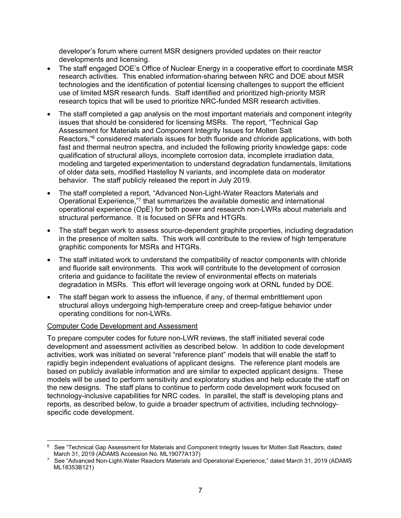developer's forum where current MSR designers provided updates on their reactor developments and licensing.

- The staff engaged DOE's Office of Nuclear Energy in a cooperative effort to coordinate MSR research activities. This enabled information-sharing between NRC and DOE about MSR technologies and the identification of potential licensing challenges to support the efficient use of limited MSR research funds. Staff identified and prioritized high-priority MSR research topics that will be used to prioritize NRC-funded MSR research activities.
- The staff completed a gap analysis on the most important materials and component integrity issues that should be considered for licensing MSRs. The report, "Technical Gap Assessment for Materials and Component Integrity Issues for Molten Salt Reactors,<sup>"6</sup> considered materials issues for both fluoride and chloride applications, with both fast and thermal neutron spectra, and included the following priority knowledge gaps: code qualification of structural alloys, incomplete corrosion data, incomplete irradiation data, modeling and targeted experimentation to understand degradation fundamentals, limitations of older data sets, modified Hastelloy N variants, and incomplete data on moderator behavior. The staff publicly released the report in July 2019.
- The staff completed a report, "Advanced Non-Light-Water Reactors Materials and Operational Experience,"7 that summarizes the available domestic and international operational experience (OpE) for both power and research non-LWRs about materials and structural performance. It is focused on SFRs and HTGRs.
- The staff began work to assess source-dependent graphite properties, including degradation in the presence of molten salts. This work will contribute to the review of high temperature graphitic components for MSRs and HTGRs.
- The staff initiated work to understand the compatibility of reactor components with chloride and fluoride salt environments. This work will contribute to the development of corrosion criteria and guidance to facilitate the review of environmental effects on materials degradation in MSRs. This effort will leverage ongoing work at ORNL funded by DOE.
- The staff began work to assess the influence, if any, of thermal embrittlement upon structural alloys undergoing high-temperature creep and creep-fatigue behavior under operating conditions for non-LWRs.

### Computer Code Development and Assessment

To prepare computer codes for future non-LWR reviews, the staff initiated several code development and assessment activities as described below. In addition to code development activities, work was initiated on several "reference plant" models that will enable the staff to rapidly begin independent evaluations of applicant designs. The reference plant models are based on publicly available information and are similar to expected applicant designs. These models will be used to perform sensitivity and exploratory studies and help educate the staff on the new designs. The staff plans to continue to perform code development work focused on technology-inclusive capabilities for NRC codes. In parallel, the staff is developing plans and reports, as described below, to guide a broader spectrum of activities, including technologyspecific code development.

<sup>6</sup> See "Technical Gap Assessment for Materials and Component Integrity Issues for Molten Salt Reactors, dated March 31, 2019 (ADAMS Accession No. ML19077A137)<br>7 See "Advanced Non-Light-Water Reactors Materials and Operational Experience," dated March 31, 2019 (ADAMS

ML18353B121)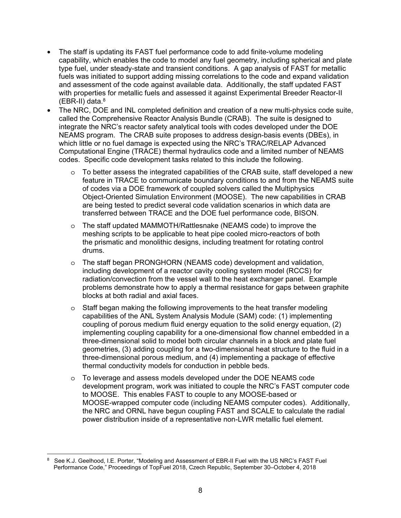- The staff is updating its FAST fuel performance code to add finite-volume modeling capability, which enables the code to model any fuel geometry, including spherical and plate type fuel, under steady-state and transient conditions. A gap analysis of FAST for metallic fuels was initiated to support adding missing correlations to the code and expand validation and assessment of the code against available data. Additionally, the staff updated FAST with properties for metallic fuels and assessed it against Experimental Breeder Reactor-II  $(EBR-III)$  data. $8$
- The NRC, DOE and INL completed definition and creation of a new multi-physics code suite, called the Comprehensive Reactor Analysis Bundle (CRAB). The suite is designed to integrate the NRC's reactor safety analytical tools with codes developed under the DOE NEAMS program. The CRAB suite proposes to address design-basis events (DBEs), in which little or no fuel damage is expected using the NRC's TRAC/RELAP Advanced Computational Engine (TRACE) thermal hydraulics code and a limited number of NEAMS codes. Specific code development tasks related to this include the following.
	- $\circ$  To better assess the integrated capabilities of the CRAB suite, staff developed a new feature in TRACE to communicate boundary conditions to and from the NEAMS suite of codes via a DOE framework of coupled solvers called the Multiphysics Object-Oriented Simulation Environment (MOOSE). The new capabilities in CRAB are being tested to predict several code validation scenarios in which data are transferred between TRACE and the DOE fuel performance code, BISON.
	- o The staff updated MAMMOTH/Rattlesnake (NEAMS code) to improve the meshing scripts to be applicable to heat pipe cooled micro-reactors of both the prismatic and monolithic designs, including treatment for rotating control drums.
	- o The staff began PRONGHORN (NEAMS code) development and validation, including development of a reactor cavity cooling system model (RCCS) for radiation/convection from the vessel wall to the heat exchanger panel. Example problems demonstrate how to apply a thermal resistance for gaps between graphite blocks at both radial and axial faces.
	- $\circ$  Staff began making the following improvements to the heat transfer modeling capabilities of the ANL System Analysis Module (SAM) code: (1) implementing coupling of porous medium fluid energy equation to the solid energy equation, (2) implementing coupling capability for a one-dimensional flow channel embedded in a three-dimensional solid to model both circular channels in a block and plate fuel geometries, (3) adding coupling for a two-dimensional heat structure to the fluid in a three-dimensional porous medium, and (4) implementing a package of effective thermal conductivity models for conduction in pebble beds.
	- o To leverage and assess models developed under the DOE NEAMS code development program, work was initiated to couple the NRC's FAST computer code to MOOSE. This enables FAST to couple to any MOOSE-based or MOOSE-wrapped computer code (including NEAMS computer codes). Additionally, the NRC and ORNL have begun coupling FAST and SCALE to calculate the radial power distribution inside of a representative non-LWR metallic fuel element.

 8 See K.J. Geelhood, I.E. Porter, "Modeling and Assessment of EBR-II Fuel with the US NRC's FAST Fuel Performance Code," Proceedings of TopFuel 2018, Czech Republic, September 30–October 4, 2018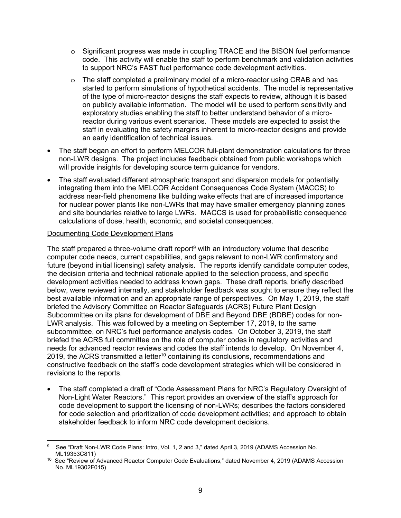- o Significant progress was made in coupling TRACE and the BISON fuel performance code. This activity will enable the staff to perform benchmark and validation activities to support NRC's FAST fuel performance code development activities.
- $\circ$  The staff completed a preliminary model of a micro-reactor using CRAB and has started to perform simulations of hypothetical accidents. The model is representative of the type of micro-reactor designs the staff expects to review, although it is based on publicly available information. The model will be used to perform sensitivity and exploratory studies enabling the staff to better understand behavior of a microreactor during various event scenarios. These models are expected to assist the staff in evaluating the safety margins inherent to micro-reactor designs and provide an early identification of technical issues.
- The staff began an effort to perform MELCOR full-plant demonstration calculations for three non-LWR designs. The project includes feedback obtained from public workshops which will provide insights for developing source term guidance for vendors.
- The staff evaluated different atmospheric transport and dispersion models for potentially integrating them into the MELCOR Accident Consequences Code System (MACCS) to address near-field phenomena like building wake effects that are of increased importance for nuclear power plants like non-LWRs that may have smaller emergency planning zones and site boundaries relative to large LWRs. MACCS is used for probabilistic consequence calculations of dose, health, economic, and societal consequences.

#### Documenting Code Development Plans

The staff prepared a three-volume draft report<sup>9</sup> with an introductory volume that describe computer code needs, current capabilities, and gaps relevant to non-LWR confirmatory and future (beyond initial licensing) safety analysis. The reports identify candidate computer codes, the decision criteria and technical rationale applied to the selection process, and specific development activities needed to address known gaps. These draft reports, briefly described below, were reviewed internally, and stakeholder feedback was sought to ensure they reflect the best available information and an appropriate range of perspectives. On May 1, 2019, the staff briefed the Advisory Committee on Reactor Safeguards (ACRS) Future Plant Design Subcommittee on its plans for development of DBE and Beyond DBE (BDBE) codes for non-LWR analysis. This was followed by a meeting on September 17, 2019, to the same subcommittee, on NRC's fuel performance analysis codes. On October 3, 2019, the staff briefed the ACRS full committee on the role of computer codes in regulatory activities and needs for advanced reactor reviews and codes the staff intends to develop. On November 4, 2019, the ACRS transmitted a letter<sup>10</sup> containing its conclusions, recommendations and constructive feedback on the staff's code development strategies which will be considered in revisions to the reports.

• The staff completed a draft of "Code Assessment Plans for NRC's Regulatory Oversight of Non-Light Water Reactors." This report provides an overview of the staff's approach for code development to support the licensing of non-LWRs; describes the factors considered for code selection and prioritization of code development activities; and approach to obtain stakeholder feedback to inform NRC code development decisions.

 9 See "Draft Non-LWR Code Plans: Intro, Vol. 1, 2 and 3," dated April 3, 2019 (ADAMS Accession No. ML19353C811)

<sup>&</sup>lt;sup>10</sup> See "Review of Advanced Reactor Computer Code Evaluations," dated November 4, 2019 (ADAMS Accession No. ML19302F015)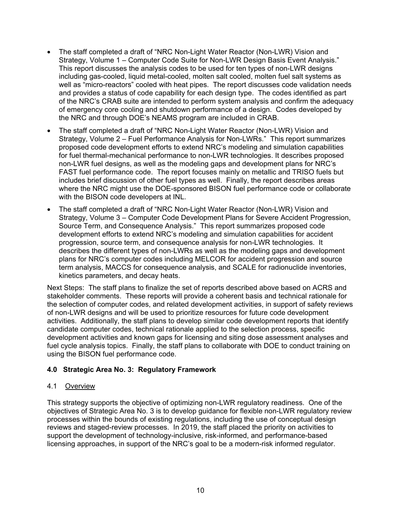- The staff completed a draft of "NRC Non-Light Water Reactor (Non-LWR) Vision and Strategy, Volume 1 – Computer Code Suite for Non-LWR Design Basis Event Analysis." This report discusses the analysis codes to be used for ten types of non-LWR designs including gas-cooled, liquid metal-cooled, molten salt cooled, molten fuel salt systems as well as "micro-reactors" cooled with heat pipes. The report discusses code validation needs and provides a status of code capability for each design type. The codes identified as part of the NRC's CRAB suite are intended to perform system analysis and confirm the adequacy of emergency core cooling and shutdown performance of a design. Codes developed by the NRC and through DOE's NEAMS program are included in CRAB.
- The staff completed a draft of "NRC Non-Light Water Reactor (Non-LWR) Vision and Strategy, Volume 2 – Fuel Performance Analysis for Non-LWRs." This report summarizes proposed code development efforts to extend NRC's modeling and simulation capabilities for fuel thermal-mechanical performance to non-LWR technologies. It describes proposed non-LWR fuel designs, as well as the modeling gaps and development plans for NRC's FAST fuel performance code. The report focuses mainly on metallic and TRISO fuels but includes brief discussion of other fuel types as well. Finally, the report describes areas where the NRC might use the DOE-sponsored BISON fuel performance code or collaborate with the BISON code developers at INL.
- The staff completed a draft of "NRC Non-Light Water Reactor (Non-LWR) Vision and Strategy, Volume 3 – Computer Code Development Plans for Severe Accident Progression, Source Term, and Consequence Analysis." This report summarizes proposed code development efforts to extend NRC's modeling and simulation capabilities for accident progression, source term, and consequence analysis for non-LWR technologies. It describes the different types of non-LWRs as well as the modeling gaps and development plans for NRC's computer codes including MELCOR for accident progression and source term analysis, MACCS for consequence analysis, and SCALE for radionuclide inventories, kinetics parameters, and decay heats.

Next Steps: The staff plans to finalize the set of reports described above based on ACRS and stakeholder comments. These reports will provide a coherent basis and technical rationale for the selection of computer codes, and related development activities, in support of safety reviews of non-LWR designs and will be used to prioritize resources for future code development activities. Additionally, the staff plans to develop similar code development reports that identify candidate computer codes, technical rationale applied to the selection process, specific development activities and known gaps for licensing and siting dose assessment analyses and fuel cycle analysis topics. Finally, the staff plans to collaborate with DOE to conduct training on using the BISON fuel performance code.

### **4.0 Strategic Area No. 3: Regulatory Framework**

### 4.1 Overview

This strategy supports the objective of optimizing non-LWR regulatory readiness. One of the objectives of Strategic Area No. 3 is to develop guidance for flexible non-LWR regulatory review processes within the bounds of existing regulations, including the use of conceptual design reviews and staged-review processes. In 2019, the staff placed the priority on activities to support the development of technology-inclusive, risk-informed, and performance-based licensing approaches, in support of the NRC's goal to be a modern-risk informed regulator.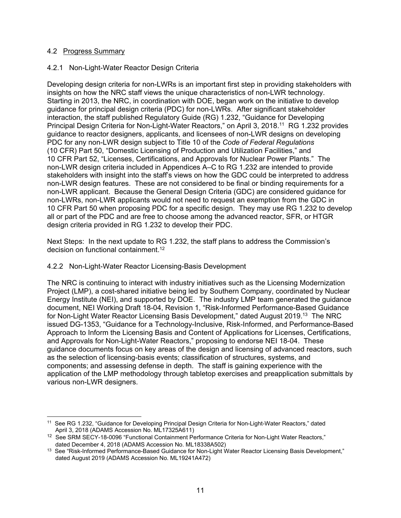#### 4.2 Progress Summary

-

#### 4.2.1 Non-Light-Water Reactor Design Criteria

Developing design criteria for non-LWRs is an important first step in providing stakeholders with insights on how the NRC staff views the unique characteristics of non-LWR technology. Starting in 2013, the NRC, in coordination with DOE, began work on the initiative to develop guidance for principal design criteria (PDC) for non-LWRs. After significant stakeholder interaction, the staff published Regulatory Guide (RG) 1.232, "Guidance for Developing Principal Design Criteria for Non-Light-Water Reactors," on April 3, 2018.<sup>11</sup> RG 1.232 provides guidance to reactor designers, applicants, and licensees of non-LWR designs on developing PDC for any non-LWR design subject to Title 10 of the *Code of Federal Regulations* (10 CFR) Part 50, "Domestic Licensing of Production and Utilization Facilities," and 10 CFR Part 52, "Licenses, Certifications, and Approvals for Nuclear Power Plants." The non-LWR design criteria included in Appendices A–C to RG 1.232 are intended to provide stakeholders with insight into the staff's views on how the GDC could be interpreted to address non-LWR design features. These are not considered to be final or binding requirements for a non-LWR applicant. Because the General Design Criteria (GDC) are considered guidance for non-LWRs, non-LWR applicants would not need to request an exemption from the GDC in 10 CFR Part 50 when proposing PDC for a specific design. They may use RG 1.232 to develop all or part of the PDC and are free to choose among the advanced reactor, SFR, or HTGR design criteria provided in RG 1.232 to develop their PDC.

Next Steps: In the next update to RG 1.232, the staff plans to address the Commission's decision on functional containment.12

### 4.2.2 Non-Light-Water Reactor Licensing-Basis Development

The NRC is continuing to interact with industry initiatives such as the Licensing Modernization Project (LMP), a cost-shared initiative being led by Southern Company, coordinated by Nuclear Energy Institute (NEI), and supported by DOE. The industry LMP team generated the guidance document, NEI Working Draft 18-04, Revision 1, "Risk-Informed Performance-Based Guidance for Non-Light Water Reactor Licensing Basis Development," dated August 2019.<sup>13</sup> The NRC issued DG-1353, "Guidance for a Technology-Inclusive, Risk-Informed, and Performance-Based Approach to Inform the Licensing Basis and Content of Applications for Licenses, Certifications, and Approvals for Non-Light-Water Reactors," proposing to endorse NEI 18-04. These guidance documents focus on key areas of the design and licensing of advanced reactors, such as the selection of licensing-basis events; classification of structures, systems, and components; and assessing defense in depth. The staff is gaining experience with the application of the LMP methodology through tabletop exercises and preapplication submittals by various non-LWR designers.

<sup>11</sup> See RG 1.232, "Guidance for Developing Principal Design Criteria for Non-Light-Water Reactors," dated April 3, 2018 (ADAMS Accession No. ML17325A611)

<sup>&</sup>lt;sup>12</sup> See SRM SECY-18-0096 "Functional Containment Performance Criteria for Non-Light Water Reactors,"<br>dated December 4, 2018 (ADAMS Accession No. ML18338A502)

<sup>&</sup>lt;sup>13</sup> See "Risk-Informed Performance-Based Guidance for Non-Light Water Reactor Licensing Basis Development," dated August 2019 (ADAMS Accession No. ML19241A472)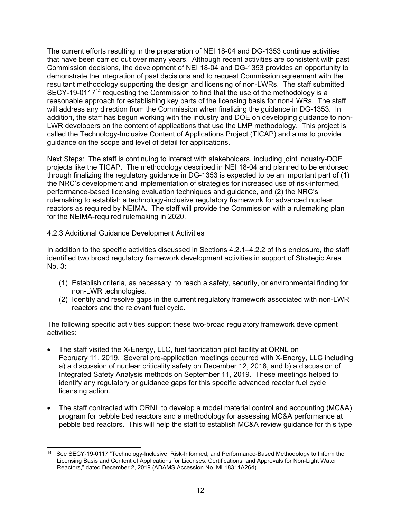The current efforts resulting in the preparation of NEI 18-04 and DG-1353 continue activities that have been carried out over many years. Although recent activities are consistent with past Commission decisions, the development of NEI 18-04 and DG-1353 provides an opportunity to demonstrate the integration of past decisions and to request Commission agreement with the resultant methodology supporting the design and licensing of non-LWRs. The staff submitted SECY-19-011714 requesting the Commission to find that the use of the methodology is a reasonable approach for establishing key parts of the licensing basis for non-LWRs. The staff will address any direction from the Commission when finalizing the guidance in DG-1353. In addition, the staff has begun working with the industry and DOE on developing guidance to non-LWR developers on the content of applications that use the LMP methodology. This project is called the Technology-Inclusive Content of Applications Project (TICAP) and aims to provide guidance on the scope and level of detail for applications.

Next Steps: The staff is continuing to interact with stakeholders, including joint industry-DOE projects like the TICAP. The methodology described in NEI 18-04 and planned to be endorsed through finalizing the regulatory guidance in DG-1353 is expected to be an important part of (1) the NRC's development and implementation of strategies for increased use of risk-informed, performance-based licensing evaluation techniques and guidance, and (2) the NRC's rulemaking to establish a technology-inclusive regulatory framework for advanced nuclear reactors as required by NEIMA. The staff will provide the Commission with a rulemaking plan for the NEIMA-required rulemaking in 2020.

### 4.2.3 Additional Guidance Development Activities

In addition to the specific activities discussed in Sections 4.2.1–4.2.2 of this enclosure, the staff identified two broad regulatory framework development activities in support of Strategic Area No. 3:

- (1) Establish criteria, as necessary, to reach a safety, security, or environmental finding for non-LWR technologies.
- (2) Identify and resolve gaps in the current regulatory framework associated with non-LWR reactors and the relevant fuel cycle.

The following specific activities support these two-broad regulatory framework development activities:

- The staff visited the X-Energy, LLC, fuel fabrication pilot facility at ORNL on February 11, 2019. Several pre-application meetings occurred with X-Energy, LLC including a) a discussion of nuclear criticality safety on December 12, 2018, and b) a discussion of Integrated Safety Analysis methods on September 11, 2019. These meetings helped to identify any regulatory or guidance gaps for this specific advanced reactor fuel cycle licensing action.
- The staff contracted with ORNL to develop a model material control and accounting (MC&A) program for pebble bed reactors and a methodology for assessing MC&A performance at pebble bed reactors. This will help the staff to establish MC&A review guidance for this type

<sup>-</sup>14 See SECY-19-0117 "Technology-Inclusive, Risk-Informed, and Performance-Based Methodology to Inform the Licensing Basis and Content of Applications for Licenses. Certifications, and Approvals for Non-Light Water Reactors," dated December 2, 2019 (ADAMS Accession No. ML18311A264)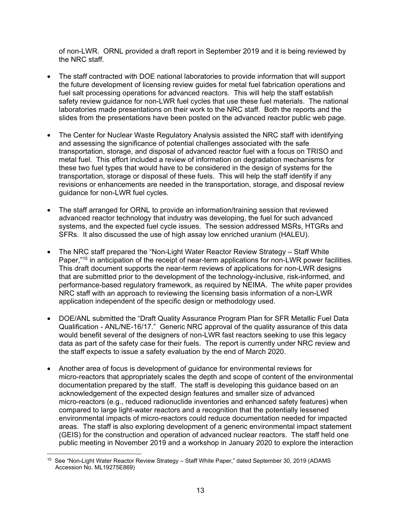of non-LWR. ORNL provided a draft report in September 2019 and it is being reviewed by the NRC staff.

- The staff contracted with DOE national laboratories to provide information that will support the future development of licensing review guides for metal fuel fabrication operations and fuel salt processing operations for advanced reactors. This will help the staff establish safety review guidance for non-LWR fuel cycles that use these fuel materials. The national laboratories made presentations on their work to the NRC staff. Both the reports and the slides from the presentations have been posted on the advanced reactor public web page.
- The Center for Nuclear Waste Regulatory Analysis assisted the NRC staff with identifying and assessing the significance of potential challenges associated with the safe transportation, storage, and disposal of advanced reactor fuel with a focus on TRISO and metal fuel. This effort included a review of information on degradation mechanisms for these two fuel types that would have to be considered in the design of systems for the transportation, storage or disposal of these fuels. This will help the staff identify if any revisions or enhancements are needed in the transportation, storage, and disposal review guidance for non-LWR fuel cycles.
- The staff arranged for ORNL to provide an information/training session that reviewed advanced reactor technology that industry was developing, the fuel for such advanced systems, and the expected fuel cycle issues. The session addressed MSRs, HTGRs and SFRs. It also discussed the use of high assay low enriched uranium (HALEU).
- The NRC staff prepared the "Non-Light Water Reactor Review Strategy Staff White Paper,"<sup>15</sup> in anticipation of the receipt of near-term applications for non-LWR power facilities. This draft document supports the near-term reviews of applications for non-LWR designs that are submitted prior to the development of the technology-inclusive, risk-informed, and performance-based regulatory framework, as required by NEIMA. The white paper provides NRC staff with an approach to reviewing the licensing basis information of a non-LWR application independent of the specific design or methodology used.
- DOE/ANL submitted the "Draft Quality Assurance Program Plan for SFR Metallic Fuel Data Qualification - ANL/NE-16/17." Generic NRC approval of the quality assurance of this data would benefit several of the designers of non-LWR fast reactors seeking to use this legacy data as part of the safety case for their fuels. The report is currently under NRC review and the staff expects to issue a safety evaluation by the end of March 2020.
- Another area of focus is development of guidance for environmental reviews for micro-reactors that appropriately scales the depth and scope of content of the environmental documentation prepared by the staff. The staff is developing this guidance based on an acknowledgement of the expected design features and smaller size of advanced micro-reactors (e.g., reduced radionuclide inventories and enhanced safety features) when compared to large light-water reactors and a recognition that the potentially lessened environmental impacts of micro-reactors could reduce documentation needed for impacted areas. The staff is also exploring development of a generic environmental impact statement (GEIS) for the construction and operation of advanced nuclear reactors. The staff held one public meeting in November 2019 and a workshop in January 2020 to explore the interaction

<sup>-</sup>15 See "Non-Light Water Reactor Review Strategy – Staff White Paper," dated September 30, 2019 (ADAMS Accession No. ML19275E869)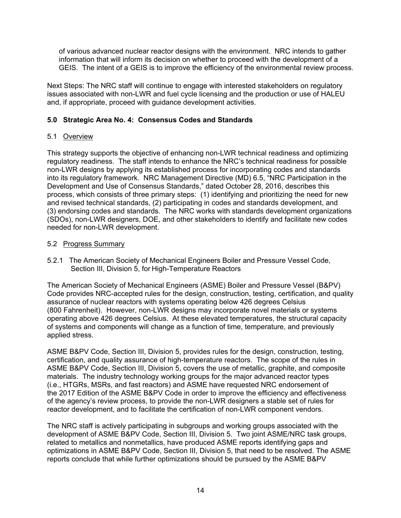of various advanced nuclear reactor designs with the environment. NRC intends to gather information that will inform its decision on whether to proceed with the development of a GEIS. The intent of a GEIS is to improve the efficiency of the environmental review process.

Next Steps: The NRC staff will continue to engage with interested stakeholders on regulatory issues associated with non-LWR and fuel cycle licensing and the production or use of HALEU and, if appropriate, proceed with guidance development activities.

# **5.0 Strategic Area No. 4: Consensus Codes and Standards**

# 5.1 Overview

This strategy supports the objective of enhancing non-LWR technical readiness and optimizing regulatory readiness. The staff intends to enhance the NRC's technical readiness for possible non-LWR designs by applying its established process for incorporating codes and standards into its regulatory framework. NRC Management Directive (MD) 6.5, "NRC Participation in the Development and Use of Consensus Standards," dated October 28, 2016, describes this process, which consists of three primary steps: (1) identifying and prioritizing the need for new and revised technical standards, (2) participating in codes and standards development, and (3) endorsing codes and standards. The NRC works with standards development organizations (SDOs), non-LWR designers, DOE, and other stakeholders to identify and facilitate new codes needed for non-LWR development.

### 5.2 Progress Summary

5.2.1 The American Society of Mechanical Engineers Boiler and Pressure Vessel Code, Section III, Division 5, for High-Temperature Reactors

The American Society of Mechanical Engineers (ASME) Boiler and Pressure Vessel (B&PV) Code provides NRC-accepted rules for the design, construction, testing, certification, and quality assurance of nuclear reactors with systems operating below 426 degrees Celsius (800 Fahrenheit). However, non-LWR designs may incorporate novel materials or systems operating above 426 degrees Celsius. At these elevated temperatures, the structural capacity of systems and components will change as a function of time, temperature, and previously applied stress.

ASME B&PV Code, Section III, Division 5, provides rules for the design, construction, testing, certification, and quality assurance of high-temperature reactors. The scope of the rules in ASME B&PV Code, Section III, Division 5, covers the use of metallic, graphite, and composite materials. The industry technology working groups for the major advanced reactor types (i.e., HTGRs, MSRs, and fast reactors) and ASME have requested NRC endorsement of the 2017 Edition of the ASME B&PV Code in order to improve the efficiency and effectiveness of the agency's review process, to provide the non-LWR designers a stable set of rules for reactor development, and to facilitate the certification of non-LWR component vendors.

The NRC staff is actively participating in subgroups and working groups associated with the development of ASME B&PV Code, Section III, Division 5. Two joint ASME/NRC task groups, related to metallics and nonmetallics, have produced ASME reports identifying gaps and optimizations in ASME B&PV Code, Section III, Division 5, that need to be resolved. The ASME reports conclude that while further optimizations should be pursued by the ASME B&PV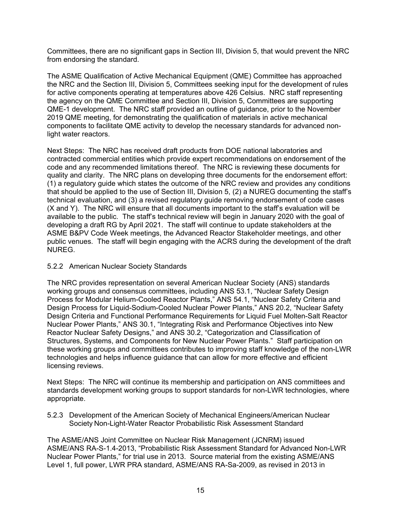Committees, there are no significant gaps in Section III, Division 5, that would prevent the NRC from endorsing the standard.

The ASME Qualification of Active Mechanical Equipment (QME) Committee has approached the NRC and the Section III, Division 5, Committees seeking input for the development of rules for active components operating at temperatures above 426 Celsius. NRC staff representing the agency on the QME Committee and Section III, Division 5, Committees are supporting QME-1 development. The NRC staff provided an outline of guidance, prior to the November 2019 QME meeting, for demonstrating the qualification of materials in active mechanical components to facilitate QME activity to develop the necessary standards for advanced nonlight water reactors.

Next Steps: The NRC has received draft products from DOE national laboratories and contracted commercial entities which provide expert recommendations on endorsement of the code and any recommended limitations thereof. The NRC is reviewing these documents for quality and clarity. The NRC plans on developing three documents for the endorsement effort: (1) a regulatory guide which states the outcome of the NRC review and provides any conditions that should be applied to the use of Section III, Division 5, (2) a NUREG documenting the staff's technical evaluation, and (3) a revised regulatory guide removing endorsement of code cases (X and Y). The NRC will ensure that all documents important to the staff's evaluation will be available to the public. The staff's technical review will begin in January 2020 with the goal of developing a draft RG by April 2021. The staff will continue to update stakeholders at the ASME B&PV Code Week meetings, the Advanced Reactor Stakeholder meetings, and other public venues. The staff will begin engaging with the ACRS during the development of the draft NUREG.

### 5.2.2 American Nuclear Society Standards

The NRC provides representation on several American Nuclear Society (ANS) standards working groups and consensus committees, including ANS 53.1, "Nuclear Safety Design Process for Modular Helium-Cooled Reactor Plants," ANS 54.1, "Nuclear Safety Criteria and Design Process for Liquid-Sodium-Cooled Nuclear Power Plants," ANS 20.2, "Nuclear Safety Design Criteria and Functional Performance Requirements for Liquid Fuel Molten-Salt Reactor Nuclear Power Plants," ANS 30.1, "Integrating Risk and Performance Objectives into New Reactor Nuclear Safety Designs," and ANS 30.2, "Categorization and Classification of Structures, Systems, and Components for New Nuclear Power Plants." Staff participation on these working groups and committees contributes to improving staff knowledge of the non-LWR technologies and helps influence guidance that can allow for more effective and efficient licensing reviews.

Next Steps: The NRC will continue its membership and participation on ANS committees and standards development working groups to support standards for non-LWR technologies, where appropriate.

5.2.3 Development of the American Society of Mechanical Engineers/American Nuclear Society Non-Light-Water Reactor Probabilistic Risk Assessment Standard

The ASME/ANS Joint Committee on Nuclear Risk Management (JCNRM) issued ASME/ANS RA-S-1.4-2013, "Probabilistic Risk Assessment Standard for Advanced Non-LWR Nuclear Power Plants," for trial use in 2013. Source material from the existing ASME/ANS Level 1, full power, LWR PRA standard, ASME/ANS RA-Sa-2009, as revised in 2013 in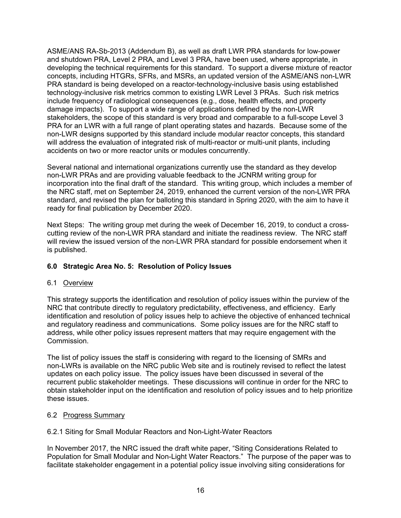ASME/ANS RA-Sb-2013 (Addendum B), as well as draft LWR PRA standards for low-power and shutdown PRA, Level 2 PRA, and Level 3 PRA, have been used, where appropriate, in developing the technical requirements for this standard. To support a diverse mixture of reactor concepts, including HTGRs, SFRs, and MSRs, an updated version of the ASME/ANS non-LWR PRA standard is being developed on a reactor-technology-inclusive basis using established technology-inclusive risk metrics common to existing LWR Level 3 PRAs. Such risk metrics include frequency of radiological consequences (e.g., dose, health effects, and property damage impacts). To support a wide range of applications defined by the non-LWR stakeholders, the scope of this standard is very broad and comparable to a full-scope Level 3 PRA for an LWR with a full range of plant operating states and hazards. Because some of the non-LWR designs supported by this standard include modular reactor concepts, this standard will address the evaluation of integrated risk of multi-reactor or multi-unit plants, including accidents on two or more reactor units or modules concurrently.

Several national and international organizations currently use the standard as they develop non-LWR PRAs and are providing valuable feedback to the JCNRM writing group for incorporation into the final draft of the standard. This writing group, which includes a member of the NRC staff, met on September 24, 2019, enhanced the current version of the non-LWR PRA standard, and revised the plan for balloting this standard in Spring 2020, with the aim to have it ready for final publication by December 2020.

Next Steps: The writing group met during the week of December 16, 2019, to conduct a crosscutting review of the non-LWR PRA standard and initiate the readiness review. The NRC staff will review the issued version of the non-LWR PRA standard for possible endorsement when it is published.

# **6.0 Strategic Area No. 5: Resolution of Policy Issues**

### 6.1 Overview

This strategy supports the identification and resolution of policy issues within the purview of the NRC that contribute directly to regulatory predictability, effectiveness, and efficiency. Early identification and resolution of policy issues help to achieve the objective of enhanced technical and regulatory readiness and communications. Some policy issues are for the NRC staff to address, while other policy issues represent matters that may require engagement with the Commission.

The list of policy issues the staff is considering with regard to the licensing of SMRs and non-LWRs is available on the NRC public Web site and is routinely revised to reflect the latest updates on each policy issue. The policy issues have been discussed in several of the recurrent public stakeholder meetings. These discussions will continue in order for the NRC to obtain stakeholder input on the identification and resolution of policy issues and to help prioritize these issues.

#### 6.2 Progress Summary

6.2.1 Siting for Small Modular Reactors and Non-Light-Water Reactors

In November 2017, the NRC issued the draft white paper, "Siting Considerations Related to Population for Small Modular and Non-Light Water Reactors." The purpose of the paper was to facilitate stakeholder engagement in a potential policy issue involving siting considerations for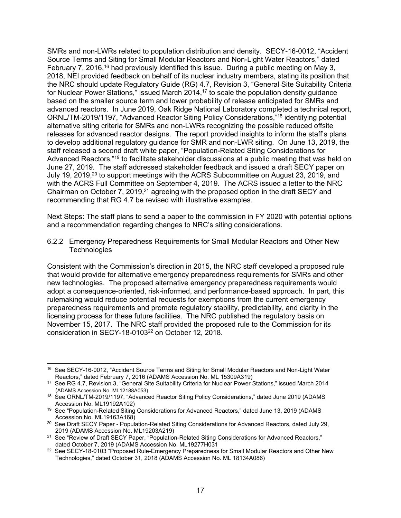SMRs and non-LWRs related to population distribution and density. SECY-16-0012, "Accident Source Terms and Siting for Small Modular Reactors and Non-Light Water Reactors," dated February 7, 2016,<sup>16</sup> had previously identified this issue. During a public meeting on May 3, 2018, NEI provided feedback on behalf of its nuclear industry members, stating its position that the NRC should update Regulatory Guide (RG) 4.7, Revision 3, "General Site Suitability Criteria for Nuclear Power Stations," issued March 2014,<sup>17</sup> to scale the population density guidance based on the smaller source term and lower probability of release anticipated for SMRs and advanced reactors. In June 2019, Oak Ridge National Laboratory completed a technical report, ORNL/TM-2019/1197, "Advanced Reactor Siting Policy Considerations,"18 identifying potential alternative siting criteria for SMRs and non-LWRs recognizing the possible reduced offsite releases for advanced reactor designs. The report provided insights to inform the staff's plans to develop additional regulatory guidance for SMR and non-LWR siting. On June 13, 2019, the staff released a second draft white paper, "Population-Related Siting Considerations for Advanced Reactors,"<sup>19</sup> to facilitate stakeholder discussions at a public meeting that was held on June 27, 2019. The staff addressed stakeholder feedback and issued a draft SECY paper on July 19, 2019,<sup>20</sup> to support meetings with the ACRS Subcommittee on August 23, 2019, and with the ACRS Full Committee on September 4, 2019. The ACRS issued a letter to the NRC Chairman on October 7, 2019,<sup>21</sup> agreeing with the proposed option in the draft SECY and recommending that RG 4.7 be revised with illustrative examples.

Next Steps: The staff plans to send a paper to the commission in FY 2020 with potential options and a recommendation regarding changes to NRC's siting considerations.

6.2.2 Emergency Preparedness Requirements for Small Modular Reactors and Other New **Technologies** 

Consistent with the Commission's direction in 2015, the NRC staff developed a proposed rule that would provide for alternative emergency preparedness requirements for SMRs and other new technologies. The proposed alternative emergency preparedness requirements would adopt a consequence-oriented, risk-informed, and performance-based approach. In part, this rulemaking would reduce potential requests for exemptions from the current emergency preparedness requirements and promote regulatory stability, predictability, and clarity in the licensing process for these future facilities. The NRC published the regulatory basis on November 15, 2017. The NRC staff provided the proposed rule to the Commission for its consideration in SECY-18-010322 on October 12, 2018.

 <sup>16</sup> See SECY-16-0012, "Accident Source Terms and Siting for Small Modular Reactors and Non-Light Water

Reactors," dated February 7, 2016 (ADAMS Accession No. ML 15309A319)<br><sup>17</sup> See RG 4.7, Revision 3, "General Site Suitability Criteria for Nuclear Power Stations," issued March 2014 (ADAMS Accession No. ML12188A053)

<sup>&</sup>lt;sup>18</sup> See ORNL/TM-2019/1197, "Advanced Reactor Siting Policy Considerations," dated June 2019 (ADAMS Accession No. ML19192A102)

<sup>&</sup>lt;sup>19</sup> See "Population-Related Siting Considerations for Advanced Reactors," dated June 13, 2019 (ADAMS<br>Accession No. ML19163A168)

<sup>&</sup>lt;sup>20</sup> See Draft SECY Paper - Population-Related Siting Considerations for Advanced Reactors, dated July 29, 2019 (ADAMS Accession No. ML19203A219)

<sup>&</sup>lt;sup>21</sup> See "Review of Draft SECY Paper, "Population-Related Siting Considerations for Advanced Reactors,"<br>dated October 7, 2019 (ADAMS Accession No. ML19277H031

<sup>&</sup>lt;sup>22</sup> See SECY-18-0103 "Proposed Rule-Emergency Preparedness for Small Modular Reactors and Other New Technologies," dated October 31, 2018 (ADAMS Accession No. ML 18134A086)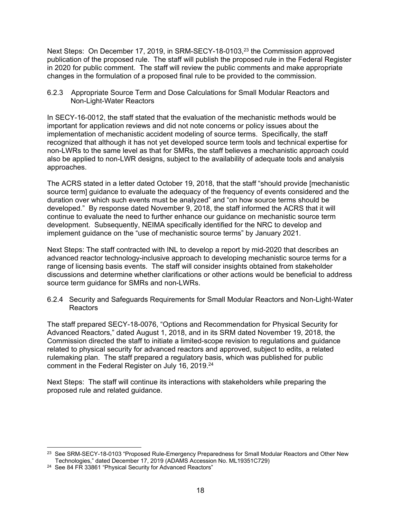Next Steps: On December 17, 2019, in SRM-SECY-18-0103,<sup>23</sup> the Commission approved publication of the proposed rule. The staff will publish the proposed rule in the Federal Register in 2020 for public comment. The staff will review the public comments and make appropriate changes in the formulation of a proposed final rule to be provided to the commission.

6.2.3 Appropriate Source Term and Dose Calculations for Small Modular Reactors and Non-Light-Water Reactors

In SECY-16-0012, the staff stated that the evaluation of the mechanistic methods would be important for application reviews and did not note concerns or policy issues about the implementation of mechanistic accident modeling of source terms. Specifically, the staff recognized that although it has not yet developed source term tools and technical expertise for non-LWRs to the same level as that for SMRs, the staff believes a mechanistic approach could also be applied to non-LWR designs, subject to the availability of adequate tools and analysis approaches.

The ACRS stated in a letter dated October 19, 2018, that the staff "should provide [mechanistic source term] guidance to evaluate the adequacy of the frequency of events considered and the duration over which such events must be analyzed" and "on how source terms should be developed." By response dated November 9, 2018, the staff informed the ACRS that it will continue to evaluate the need to further enhance our guidance on mechanistic source term development. Subsequently, NEIMA specifically identified for the NRC to develop and implement guidance on the "use of mechanistic source terms" by January 2021.

Next Steps: The staff contracted with INL to develop a report by mid-2020 that describes an advanced reactor technology-inclusive approach to developing mechanistic source terms for a range of licensing basis events. The staff will consider insights obtained from stakeholder discussions and determine whether clarifications or other actions would be beneficial to address source term guidance for SMRs and non-LWRs.

6.2.4 Security and Safeguards Requirements for Small Modular Reactors and Non-Light-Water Reactors

The staff prepared SECY-18-0076, "Options and Recommendation for Physical Security for Advanced Reactors," dated August 1, 2018, and in its SRM dated November 19, 2018, the Commission directed the staff to initiate a limited-scope revision to regulations and guidance related to physical security for advanced reactors and approved, subject to edits, a related rulemaking plan. The staff prepared a regulatory basis, which was published for public comment in the Federal Register on July 16, 2019.24

Next Steps: The staff will continue its interactions with stakeholders while preparing the proposed rule and related guidance.

 $\overline{a}$ 

<sup>&</sup>lt;sup>23</sup> See SRM-SECY-18-0103 "Proposed Rule-Emergency Preparedness for Small Modular Reactors and Other New<br>Technologies," dated December 17, 2019 (ADAMS Accession No. ML19351C729)

<sup>&</sup>lt;sup>24</sup> See 84 FR 33861 "Physical Security for Advanced Reactors"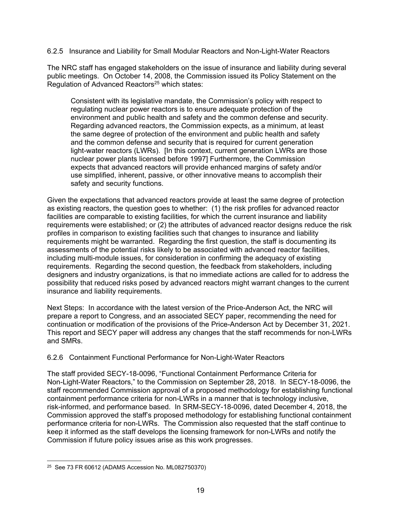### 6.2.5 Insurance and Liability for Small Modular Reactors and Non-Light-Water Reactors

The NRC staff has engaged stakeholders on the issue of insurance and liability during several public meetings. On October 14, 2008, the Commission issued its Policy Statement on the Regulation of Advanced Reactors<sup>25</sup> which states:

Consistent with its legislative mandate, the Commission's policy with respect to regulating nuclear power reactors is to ensure adequate protection of the environment and public health and safety and the common defense and security. Regarding advanced reactors, the Commission expects, as a minimum, at least the same degree of protection of the environment and public health and safety and the common defense and security that is required for current generation light-water reactors (LWRs). [In this context, current generation LWRs are those nuclear power plants licensed before 1997] Furthermore, the Commission expects that advanced reactors will provide enhanced margins of safety and/or use simplified, inherent, passive, or other innovative means to accomplish their safety and security functions.

Given the expectations that advanced reactors provide at least the same degree of protection as existing reactors, the question goes to whether: (1) the risk profiles for advanced reactor facilities are comparable to existing facilities, for which the current insurance and liability requirements were established; or (2) the attributes of advanced reactor designs reduce the risk profiles in comparison to existing facilities such that changes to insurance and liability requirements might be warranted. Regarding the first question, the staff is documenting its assessments of the potential risks likely to be associated with advanced reactor facilities, including multi-module issues, for consideration in confirming the adequacy of existing requirements. Regarding the second question, the feedback from stakeholders, including designers and industry organizations, is that no immediate actions are called for to address the possibility that reduced risks posed by advanced reactors might warrant changes to the current insurance and liability requirements.

Next Steps: In accordance with the latest version of the Price-Anderson Act, the NRC will prepare a report to Congress, and an associated SECY paper, recommending the need for continuation or modification of the provisions of the Price-Anderson Act by December 31, 2021. This report and SECY paper will address any changes that the staff recommends for non-LWRs and SMRs.

### 6.2.6 Containment Functional Performance for Non-Light-Water Reactors

The staff provided SECY-18-0096, "Functional Containment Performance Criteria for Non-Light-Water Reactors," to the Commission on September 28, 2018. In SECY-18-0096, the staff recommended Commission approval of a proposed methodology for establishing functional containment performance criteria for non-LWRs in a manner that is technology inclusive, risk-informed, and performance based. In SRM-SECY-18-0096, dated December 4, 2018, the Commission approved the staff's proposed methodology for establishing functional containment performance criteria for non-LWRs. The Commission also requested that the staff continue to keep it informed as the staff develops the licensing framework for non-LWRs and notify the Commission if future policy issues arise as this work progresses.

 25 See 73 FR 60612 (ADAMS Accession No. ML082750370)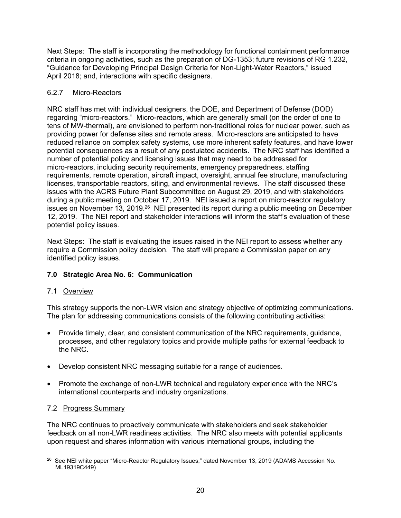Next Steps: The staff is incorporating the methodology for functional containment performance criteria in ongoing activities, such as the preparation of DG-1353; future revisions of RG 1.232, "Guidance for Developing Principal Design Criteria for Non-Light-Water Reactors," issued April 2018; and, interactions with specific designers.

### 6.2.7 Micro-Reactors

NRC staff has met with individual designers, the DOE, and Department of Defense (DOD) regarding "micro-reactors." Micro-reactors, which are generally small (on the order of one to tens of MW-thermal), are envisioned to perform non-traditional roles for nuclear power, such as providing power for defense sites and remote areas. Micro-reactors are anticipated to have reduced reliance on complex safety systems, use more inherent safety features, and have lower potential consequences as a result of any postulated accidents. The NRC staff has identified a number of potential policy and licensing issues that may need to be addressed for micro-reactors, including security requirements, emergency preparedness, staffing requirements, remote operation, aircraft impact, oversight, annual fee structure, manufacturing licenses, transportable reactors, siting, and environmental reviews. The staff discussed these issues with the ACRS Future Plant Subcommittee on August 29, 2019, and with stakeholders during a public meeting on October 17, 2019. NEI issued a report on micro-reactor regulatory issues on November 13, 2019.<sup>26</sup> NEI presented its report during a public meeting on December 12, 2019. The NEI report and stakeholder interactions will inform the staff's evaluation of these potential policy issues.

Next Steps: The staff is evaluating the issues raised in the NEI report to assess whether any require a Commission policy decision. The staff will prepare a Commission paper on any identified policy issues.

# **7.0 Strategic Area No. 6: Communication**

# 7.1 Overview

This strategy supports the non-LWR vision and strategy objective of optimizing communications. The plan for addressing communications consists of the following contributing activities:

- Provide timely, clear, and consistent communication of the NRC requirements, quidance, processes, and other regulatory topics and provide multiple paths for external feedback to the NRC.
- Develop consistent NRC messaging suitable for a range of audiences.
- Promote the exchange of non-LWR technical and regulatory experience with the NRC's international counterparts and industry organizations.

# 7.2 Progress Summary

The NRC continues to proactively communicate with stakeholders and seek stakeholder feedback on all non-LWR readiness activities. The NRC also meets with potential applicants upon request and shares information with various international groups, including the

  $^{26}$  See NEI white paper "Micro-Reactor Regulatory Issues," dated November 13, 2019 (ADAMS Accession No. ML19319C449)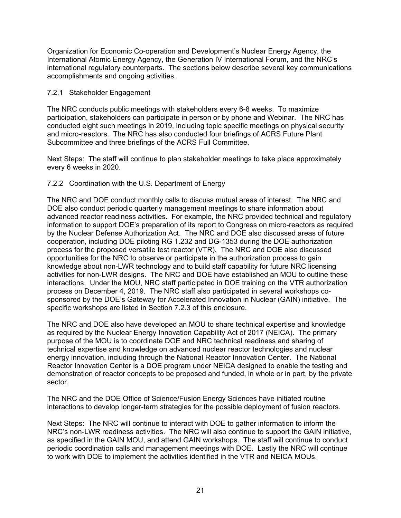Organization for Economic Co-operation and Development's Nuclear Energy Agency, the International Atomic Energy Agency, the Generation IV International Forum, and the NRC's international regulatory counterparts. The sections below describe several key communications accomplishments and ongoing activities.

#### 7.2.1 Stakeholder Engagement

The NRC conducts public meetings with stakeholders every 6-8 weeks. To maximize participation, stakeholders can participate in person or by phone and Webinar. The NRC has conducted eight such meetings in 2019, including topic specific meetings on physical security and micro-reactors. The NRC has also conducted four briefings of ACRS Future Plant Subcommittee and three briefings of the ACRS Full Committee.

Next Steps: The staff will continue to plan stakeholder meetings to take place approximately every 6 weeks in 2020.

### 7.2.2 Coordination with the U.S. Department of Energy

The NRC and DOE conduct monthly calls to discuss mutual areas of interest. The NRC and DOE also conduct periodic quarterly management meetings to share information about advanced reactor readiness activities. For example, the NRC provided technical and regulatory information to support DOE's preparation of its report to Congress on micro-reactors as required by the Nuclear Defense Authorization Act. The NRC and DOE also discussed areas of future cooperation, including DOE piloting RG 1.232 and DG-1353 during the DOE authorization process for the proposed versatile test reactor (VTR). The NRC and DOE also discussed opportunities for the NRC to observe or participate in the authorization process to gain knowledge about non-LWR technology and to build staff capability for future NRC licensing activities for non-LWR designs. The NRC and DOE have established an MOU to outline these interactions. Under the MOU, NRC staff participated in DOE training on the VTR authorization process on December 4, 2019. The NRC staff also participated in several workshops cosponsored by the DOE's Gateway for Accelerated Innovation in Nuclear (GAIN) initiative. The specific workshops are listed in Section 7.2.3 of this enclosure.

The NRC and DOE also have developed an MOU to share technical expertise and knowledge as required by the Nuclear Energy Innovation Capability Act of 2017 (NEICA). The primary purpose of the MOU is to coordinate DOE and NRC technical readiness and sharing of technical expertise and knowledge on advanced nuclear reactor technologies and nuclear energy innovation, including through the National Reactor Innovation Center. The National Reactor Innovation Center is a DOE program under NEICA designed to enable the testing and demonstration of reactor concepts to be proposed and funded, in whole or in part, by the private sector.

The NRC and the DOE Office of Science/Fusion Energy Sciences have initiated routine interactions to develop longer-term strategies for the possible deployment of fusion reactors.

Next Steps: The NRC will continue to interact with DOE to gather information to inform the NRC's non-LWR readiness activities. The NRC will also continue to support the GAIN initiative, as specified in the GAIN MOU, and attend GAIN workshops. The staff will continue to conduct periodic coordination calls and management meetings with DOE. Lastly the NRC will continue to work with DOE to implement the activities identified in the VTR and NEICA MOUs.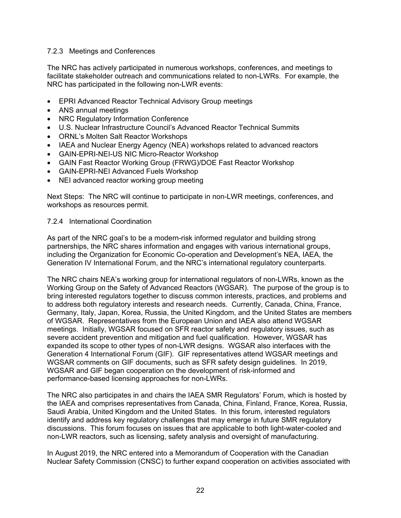### 7.2.3 Meetings and Conferences

The NRC has actively participated in numerous workshops, conferences, and meetings to facilitate stakeholder outreach and communications related to non-LWRs. For example, the NRC has participated in the following non-LWR events:

- EPRI Advanced Reactor Technical Advisory Group meetings
- ANS annual meetings
- NRC Regulatory Information Conference
- U.S. Nuclear Infrastructure Council's Advanced Reactor Technical Summits
- ORNL's Molten Salt Reactor Workshops
- IAEA and Nuclear Energy Agency (NEA) workshops related to advanced reactors
- GAIN-EPRI-NEI-US NIC Micro-Reactor Workshop
- GAIN Fast Reactor Working Group (FRWG)/DOE Fast Reactor Workshop
- GAIN-EPRI-NEI Advanced Fuels Workshop
- NEI advanced reactor working group meeting

Next Steps: The NRC will continue to participate in non-LWR meetings, conferences, and workshops as resources permit.

#### 7.2.4 International Coordination

As part of the NRC goal's to be a modern-risk informed regulator and building strong partnerships, the NRC shares information and engages with various international groups, including the Organization for Economic Co-operation and Development's NEA, IAEA, the Generation IV International Forum, and the NRC's international regulatory counterparts.

The NRC chairs NEA's working group for international regulators of non-LWRs, known as the Working Group on the Safety of Advanced Reactors (WGSAR). The purpose of the group is to bring interested regulators together to discuss common interests, practices, and problems and to address both regulatory interests and research needs. Currently, Canada, China, France, Germany, Italy, Japan, Korea, Russia, the United Kingdom, and the United States are members of WGSAR. Representatives from the European Union and IAEA also attend WGSAR meetings. Initially, WGSAR focused on SFR reactor safety and regulatory issues, such as severe accident prevention and mitigation and fuel qualification. However, WGSAR has expanded its scope to other types of non-LWR designs. WGSAR also interfaces with the Generation 4 International Forum (GIF). GIF representatives attend WGSAR meetings and WGSAR comments on GIF documents, such as SFR safety design guidelines. In 2019, WGSAR and GIF began cooperation on the development of risk-informed and performance-based licensing approaches for non-LWRs.

The NRC also participates in and chairs the IAEA SMR Regulators' Forum, which is hosted by the IAEA and comprises representatives from Canada, China, Finland, France, Korea, Russia, Saudi Arabia, United Kingdom and the United States. In this forum, interested regulators identify and address key regulatory challenges that may emerge in future SMR regulatory discussions. This forum focuses on issues that are applicable to both light-water-cooled and non-LWR reactors, such as licensing, safety analysis and oversight of manufacturing.

In August 2019, the NRC entered into a Memorandum of Cooperation with the Canadian Nuclear Safety Commission (CNSC) to further expand cooperation on activities associated with